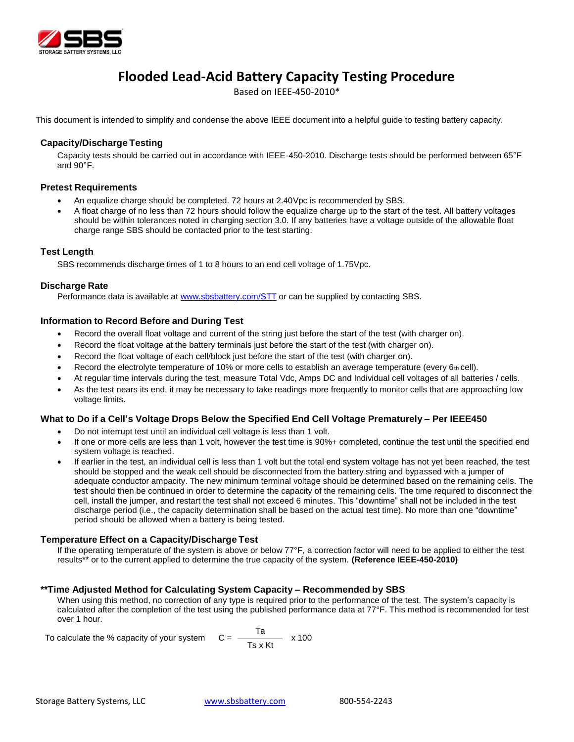

# **Flooded Lead-Acid Battery Capacity Testing Procedure**

Based on IEEE-450-2010\*

This document is intended to simplify and condense the above IEEE document into a helpful guide to testing battery capacity.

# **Capacity/Discharge Testing**

Capacity tests should be carried out in accordance with IEEE-450-2010. Discharge tests should be performed between 65°F and  $90^{\circ}$ F.

## **Pretest Requirements**

- An equalize charge should be completed. 72 hours at 2.40Vpc is recommended by SBS.
- A float charge of no less than 72 hours should follow the equalize charge up to the start of the test. All battery voltages should be within tolerances noted in charging section 3.0. If any batteries have a voltage outside of the allowable float charge range SBS should be contacted prior to the test starting.

# **Test Length**

SBS recommends discharge times of 1 to 8 hours to an end cell voltage of 1.75Vpc.

# **Discharge Rate**

Performance data is available at [www.sbsbattery.com/STT](http://www.sbsbattery.com/STT) or can be supplied by contacting SBS.

# **Information to Record Before and During Test**

- Record the overall float voltage and current of the string just before the start of the test (with charger on).
- Record the float voltage at the battery terminals just before the start of the test (with charger on).
- Record the float voltage of each cell/block just before the start of the test (with charger on).
- **Record the electrolyte temperature of 10% or more cells to establish an average temperature (every**  $6<sub>th</sub>$  **cell).**
- At regular time intervals during the test, measure Total Vdc, Amps DC and Individual cell voltages of all batteries / cells.
- As the test nears its end, it may be necessary to take readings more frequently to monitor cells that are approaching low voltage limits.

## What to Do if a Cell's Voltage Drops Below the Specified End Cell Voltage Prematurely - Per IEEE450

- Do not interrupt test until an individual cell voltage is less than 1 volt.
- If one or more cells are less than 1 volt, however the test time is 90%+ completed, continue the test until the specified end system voltage is reached.
- If earlier in the test, an individual cell is less than 1 volt but the total end system voltage has not yet been reached, the test should be stopped and the weak cell should be disconnected from the battery string and bypassed with a jumper of adequate conductor ampacity. The new minimum terminal voltage should be determined based on the remaining cells. The test should then be continued in order to determine the capacity of the remaining cells. The time required to disconnect the cell, install the jumper, and restart the test shall not exceed 6 minutes. This "downtime" shall not be included in the test discharge period (i.e., the capacity determination shall be based on the actual test time). No more than one "downtime" period should be allowed when a battery is being tested.

## **Temperature Effect on a Capacity/Discharge Test**

If the operating temperature of the system is above or below 77°F, a correction factor will need to be applied to either the test results\*\* or to the current applied to determine the true capacity of the system. **(Reference IEEE-450-2010)**

# **\*\*Time Adjusted Method for Calculating System Capacity – Recommended by SBS**

When using this method, no correction of any type is required prior to the performance of the test. The system's capacity is calculated after the completion of the test using the published performance data at 77°F. This method is recommended for test over 1 hour.

| To calculate the % capacity of your system $C =$ |         | x 100 |  |  |
|--------------------------------------------------|---------|-------|--|--|
|                                                  | Ts x Kt |       |  |  |